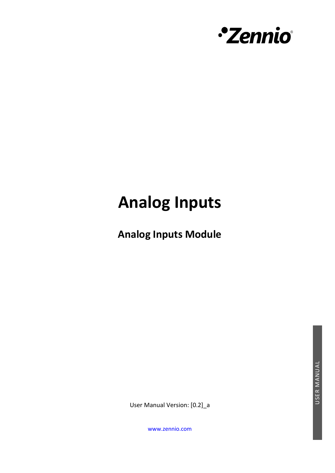

# **Analog Inputs**

**Analog Inputs Module** 

USER MANUAL USER MANUAL

User Manual Version: [0.2]\_a

[www.zennio.com](https://www.zennio.com/)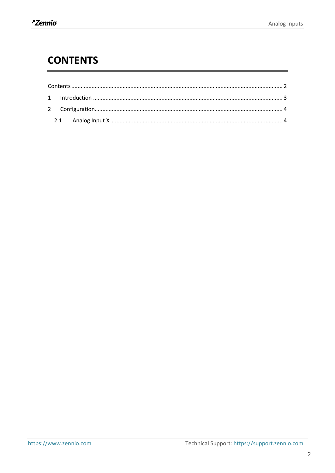## <span id="page-1-0"></span>**CONTENTS**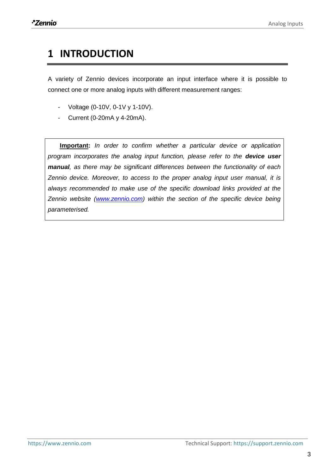### <span id="page-2-0"></span>**1 INTRODUCTION**

A variety of Zennio devices incorporate an input interface where it is possible to connect one or more analog inputs with different measurement ranges:

- Voltage (0-10V, 0-1V y 1-10V).
- Current (0-20mA y 4-20mA).

**Important:** *In order to confirm whether a particular device or application program incorporates the analog input function, please refer to the device user manual, as there may be significant differences between the functionality of each Zennio device. Moreover, to access to the proper analog input user manual, it is always recommended to make use of the specific download links provided at the Zennio website [\(www.zennio.com\)](htttps://www.zennio.com/) within the section of the specific device being parameterised.*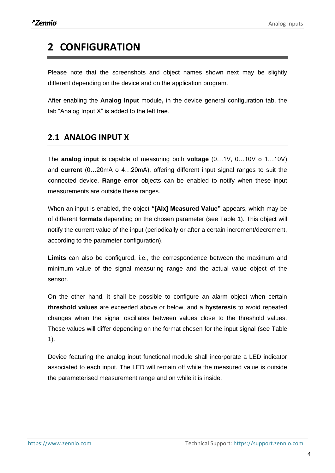# <span id="page-3-0"></span>**2 CONFIGURATION**

Please note that the screenshots and object names shown next may be slightly different depending on the device and on the application program.

After enabling the **Analog Input** module**,** in the device general configuration tab, the tab "Analog Input X" is added to the left tree.

#### <span id="page-3-1"></span>**2.1 ANALOG INPUT X**

The **analog input** is capable of measuring both **voltage** (0…1V, 0…10V o 1…10V) and **current** (0…20mA o 4…20mA), offering different input signal ranges to suit the connected device. **Range error** objects can be enabled to notify when these input measurements are outside these ranges.

When an input is enabled, the object **"[AIx] Measured Value"** appears, which may be of different **formats** depending on the chosen parameter (see [Table 1\)](#page-7-0). This object will notify the current value of the input (periodically or after a certain increment/decrement, according to the parameter configuration).

**Limits** can also be configured, i.e., the correspondence between the maximum and minimum value of the signal measuring range and the actual value object of the sensor.

On the other hand, it shall be possible to configure an alarm object when certain **threshold values** are exceeded above or below, and a **hysteresis** to avoid repeated changes when the signal oscillates between values close to the threshold values. These values will differ depending on the format chosen for the input signal (see [Table](#page-7-0)  [1\)](#page-7-0).

Device featuring the analog input functional module shall incorporate a LED indicator associated to each input. The LED will remain off while the measured value is outside the parameterised measurement range and on while it is inside.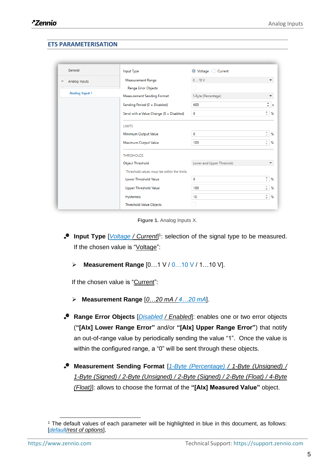#### **ETS PARAMETERISATION**

| $0 - 10V$<br>1-Byte (Percentage)<br>Measurement Sending Format<br>Sending Period (0 = Disabled)<br>600 | $\overline{\phantom{a}}$                                                     |
|--------------------------------------------------------------------------------------------------------|------------------------------------------------------------------------------|
|                                                                                                        |                                                                              |
|                                                                                                        |                                                                              |
|                                                                                                        |                                                                              |
|                                                                                                        | ٠<br>$\overline{\phantom{a}}$                                                |
| $\mathbf 0$<br>Send with a Value Change (0 = Disabled)                                                 | ٠<br>%<br>$\overline{\phantom{a}}$                                           |
|                                                                                                        |                                                                              |
| $\circ$                                                                                                | ۰<br>%<br>$\overline{\phantom{a}}$                                           |
| 100                                                                                                    | A.<br>%<br>$\overline{\phantom{a}}$                                          |
|                                                                                                        |                                                                              |
| Lower and Upper Threshold                                                                              |                                                                              |
|                                                                                                        |                                                                              |
| $\mathbf 0$                                                                                            | $\frac{4}{\pi}$<br>%                                                         |
| 100                                                                                                    | a.<br>%<br>$\cdot$                                                           |
| 10                                                                                                     | ٠<br>%<br>۰                                                                  |
| Minimum Output Value<br>Maximum Output Value<br>Lower Threshold Value<br><b>Upper Threshold Value</b>  | Threshold values must be within the limits<br><b>Threshold Value Objects</b> |

**Figure 1.** Analog Inputs X.

- **Input Type** [*Voltage / Current*] 1 : selection of the signal type to be measured. If the chosen value is "Voltage":
	- ➢ **Measurement Range** [0…1 V / 0…10 V / 1…10 V].

If the chosen value is "Current":

- ➢ **Measurement Range** [*0…20 mA / 4…20 mA*].
- **Range Error Objects** [*Disabled / Enabled*]: enables one or two error objects (**"[AIx] Lower Range Error"** and/or **"[AIx] Upper Range Error"**) that notify an out-of-range value by periodically sending the value "1". Once the value is within the configured range, a "0" will be sent through these objects.
- **Measurement Sending Format** [*1-Byte (Percentage) / 1-Byte (Unsigned) / 1-Byte (Signed) / 2-Byte (Unsigned) / 2-Byte (Signed) / 2-Byte (Float) / 4-Byte (Float)*]: allows to choose the format of the **"[AIx] Measured Value"** object.

<sup>1</sup> The default values of each parameter will be highlighted in blue in this document, as follows: [*default/rest of options*].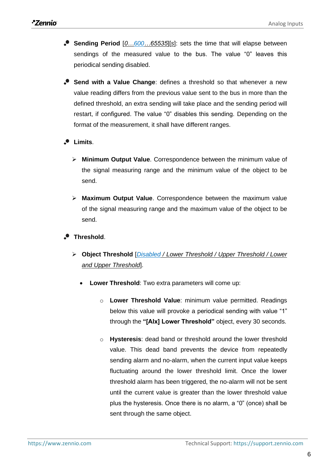- **Sending Period** [*0…600…65535*][*s*]: sets the time that will elapse between  $\cdot$ sendings of the measured value to the bus. The value "0" leaves this periodical sending disabled.
- **Send with a Value Change**: defines a threshold so that whenever a new value reading differs from the previous value sent to the bus in more than the defined threshold, an extra sending will take place and the sending period will restart, if configured. The value "0" disables this sending. Depending on the format of the measurement, it shall have different ranges.
- **Limits**.
	- ➢ **Minimum Output Value**. Correspondence between the minimum value of the signal measuring range and the minimum value of the object to be send.
	- ➢ **Maximum Output Value**. Correspondence between the maximum value of the signal measuring range and the maximum value of the object to be send.
- **Threshold**.
	- ➢ **Object Threshold** [*Disabled / Lower Threshold / Upper Threshold / Lower and Upper Threshold*].
		- **Lower Threshold:** Two extra parameters will come up:
			- o **Lower Threshold Value**: minimum value permitted. Readings below this value will provoke a periodical sending with value "1" through the **"[AIx] Lower Threshold"** object, every 30 seconds.
			- o **Hysteresis**: dead band or threshold around the lower threshold value. This dead band prevents the device from repeatedly sending alarm and no-alarm, when the current input value keeps fluctuating around the lower threshold limit. Once the lower threshold alarm has been triggered, the no-alarm will not be sent until the current value is greater than the lower threshold value plus the hysteresis. Once there is no alarm, a "0" (once) shall be sent through the same object.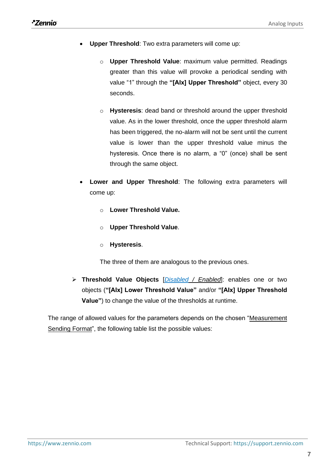- **Upper Threshold**: Two extra parameters will come up:
	- o **Upper Threshold Value**: maximum value permitted. Readings greater than this value will provoke a periodical sending with value "1" through the **"[AIx] Upper Threshold"** object, every 30 seconds.
	- o **Hysteresis**: dead band or threshold around the upper threshold value. As in the lower threshold, once the upper threshold alarm has been triggered, the no-alarm will not be sent until the current value is lower than the upper threshold value minus the hysteresis. Once there is no alarm, a "0" (once) shall be sent through the same object.
- **Lower and Upper Threshold:** The following extra parameters will come up:
	- o **Lower Threshold Value.**
	- o **Upper Threshold Value**.
	- o **Hysteresis**.

The three of them are analogous to the previous ones.

➢ **Threshold Value Objects** [*Disabled / Enabled*]: enables one or two objects (**"[AIx] Lower Threshold Value"** and/or **"[AIx] Upper Threshold Value"**) to change the value of the thresholds at runtime.

The range of allowed values for the parameters depends on the chosen "Measurement Sending Format", the following table list the possible values: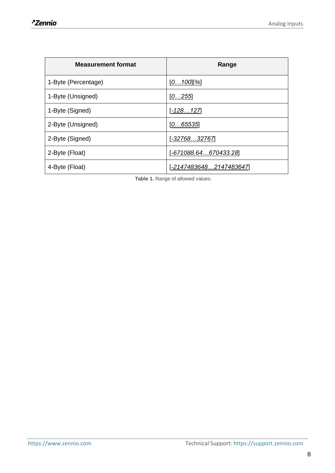| <b>Measurement format</b> | Range                 |
|---------------------------|-----------------------|
| 1-Byte (Percentage)       | [ <u>0…100][%]</u>    |
| 1-Byte (Unsigned)         | [0255]                |
| 1-Byte (Signed)           | <u> 128…127 - </u>    |
| 2-Byte (Unsigned)         | [065535]              |
| 2-Byte (Signed)           | [-32768…32767]        |
| 2-Byte (Float)            | -671088.64670433.28]  |
| 4-Byte (Float)            | -21474836482147483647 |

<span id="page-7-0"></span>**Table 1.** Range of allowed values.